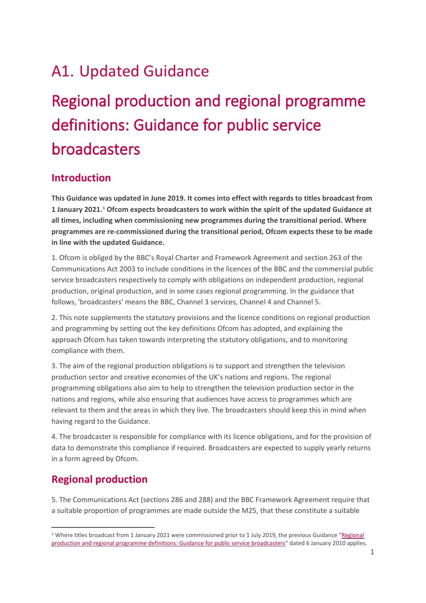## A1. Updated Guidance

# Regional production and regional programme definitions: Guidance for public service broadcasters

## **Introduction**

**This Guidance was updated in June 2019. It comes into effect with regards to titles broadcast from 1 January 2021.[1](#page-0-0) Ofcom expects broadcasters to work within the spirit of the updated Guidance at all times, including when commissioning new programmes during the transitional period. Where programmes are re-commissioned during the transitional period, Ofcom expects these to be made in line with the updated Guidance.**

1. Ofcom is obliged by the BBC's Royal Charter and Framework Agreement and section 263 of the Communications Act 2003 to include conditions in the licences of the BBC and the commercial public service broadcasters respectively to comply with obligations on independent production, regional production, original production, and in some cases regional programming. In the guidance that follows, 'broadcasters' means the BBC, Channel 3 services, Channel 4 and Channel 5.

2. This note supplements the statutory provisions and the licence conditions on regional production and programming by setting out the key definitions Ofcom has adopted, and explaining the approach Ofcom has taken towards interpreting the statutory obligations, and to monitoring compliance with them.

3. The aim of the regional production obligations is to support and strengthen the television production sector and creative economies of the UK's nations and regions. The regional programming obligations also aim to help to strengthen the television production sector in the nations and regions, while also ensuring that audiences have access to programmes which are relevant to them and the areas in which they live. The broadcasters should keep this in mind when having regard to the Guidance.

4. The broadcaster is responsible for compliance with its licence obligations, and for the provision of data to demonstrate this compliance if required. Broadcasters are expected to supply yearly returns in a form agreed by Ofcom.

## **Regional production**

5. The Communications Act (sections 286 and 288) and the BBC Framework Agreement require that a suitable proportion of programmes are made outside the M25, that these constitute a suitable

<span id="page-0-0"></span><sup>&</sup>lt;sup>1</sup> Where titles broadcast from 1 January 2021 were commissioned prior to 1 July 2019, the previous Guidance "Regional [production and regional programme definitions: Guidance for public service broadcasters"](https://www.ofcom.org.uk/__data/assets/pdf_file/0019/87040/Regional-production-and-regional-programme-definitions.pdf) dated 6 January 2010 applies.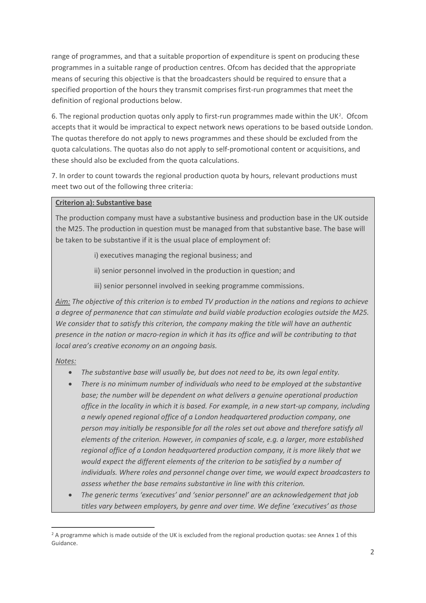range of programmes, and that a suitable proportion of expenditure is spent on producing these programmes in a suitable range of production centres. Ofcom has decided that the appropriate means of securing this objective is that the broadcasters should be required to ensure that a specified proportion of the hours they transmit comprises first-run programmes that meet the definition of regional productions below.

6. The regional production quotas only apply to first-run programmes made within the UK[2.](#page-1-0) Ofcom accepts that it would be impractical to expect network news operations to be based outside London. The quotas therefore do not apply to news programmes and these should be excluded from the quota calculations. The quotas also do not apply to self-promotional content or acquisitions, and these should also be excluded from the quota calculations.

7. In order to count towards the regional production quota by hours, relevant productions must meet two out of the following three criteria:

#### **Criterion a): Substantive base**

The production company must have a substantive business and production base in the UK outside the M25. The production in question must be managed from that substantive base. The base will be taken to be substantive if it is the usual place of employment of:

i) executives managing the regional business; and

ii) senior personnel involved in the production in question; and

iii) senior personnel involved in seeking programme commissions.

*Aim: The objective of this criterion is to embed TV production in the nations and regions to achieve a degree of permanence that can stimulate and build viable production ecologies outside the M25. We consider that to satisfy this criterion, the company making the title will have an authentic presence in the nation or macro-region in which it has its office and will be contributing to that local area's creative economy on an ongoing basis.* 

#### *Notes:*

- *The substantive base will usually be, but does not need to be, its own legal entity.*
- *There is no minimum number of individuals who need to be employed at the substantive base; the number will be dependent on what delivers a genuine operational production office in the locality in which it is based. For example, in a new start-up company, including a newly opened regional office of a London headquartered production company, one person may initially be responsible for all the roles set out above and therefore satisfy all elements of the criterion. However, in companies of scale, e.g. a larger, more established regional office of a London headquartered production company, it is more likely that we would expect the different elements of the criterion to be satisfied by a number of individuals. Where roles and personnel change over time, we would expect broadcasters to assess whether the base remains substantive in line with this criterion.*
- *The generic terms 'executives' and 'senior personnel' are an acknowledgement that job titles vary between employers, by genre and over time. We define 'executives' as those*

<span id="page-1-0"></span> $2A$  programme which is made outside of the UK is excluded from the regional production quotas: see Annex 1 of this Guidance.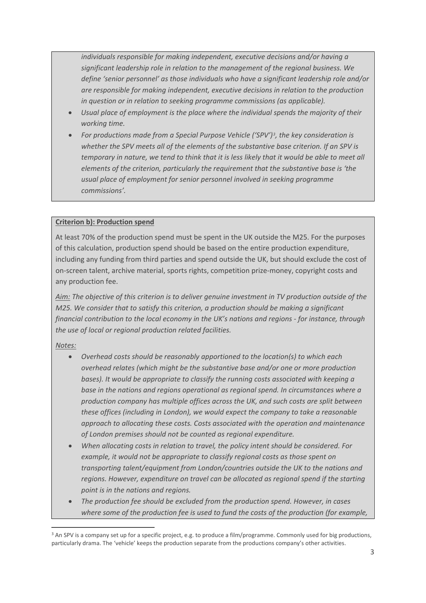*individuals responsible for making independent, executive decisions and/or having a significant leadership role in relation to the management of the regional business. We define 'senior personnel' as those individuals who have a significant leadership role and/or are responsible for making independent, executive decisions in relation to the production in question or in relation to seeking programme commissions (as applicable).*

- *Usual place of employment is the place where the individual spends the majority of their working time.*
- *For productions made from a Special Purpose Vehicle ('SPV')[3,](#page-2-0) the key consideration is whether the SPV meets all of the elements of the substantive base criterion. If an SPV is temporary in nature, we tend to think that it is less likely that it would be able to meet all elements of the criterion, particularly the requirement that the substantive base is 'the usual place of employment for senior personnel involved in seeking programme commissions'.*

#### **Criterion b): Production spend**

At least 70% of the production spend must be spent in the UK outside the M25. For the purposes of this calculation, production spend should be based on the entire production expenditure, including any funding from third parties and spend outside the UK, but should exclude the cost of on-screen talent, archive material, sports rights, competition prize-money, copyright costs and any production fee.

*Aim: The objective of this criterion is to deliver genuine investment in TV production outside of the M25. We consider that to satisfy this criterion, a production should be making a significant financial contribution to the local economy in the UK's nations and regions - for instance, through the use of local or regional production related facilities.*

#### *Notes:*

- *Overhead costs should be reasonably apportioned to the location(s) to which each overhead relates (which might be the substantive base and/or one or more production bases). It would be appropriate to classify the running costs associated with keeping a base in the nations and regions operational as regional spend. In circumstances where a production company has multiple offices across the UK, and such costs are split between these offices (including in London), we would expect the company to take a reasonable approach to allocating these costs. Costs associated with the operation and maintenance of London premises should not be counted as regional expenditure.*
- *When allocating costs in relation to travel, the policy intent should be considered. For example, it would not be appropriate to classify regional costs as those spent on transporting talent/equipment from London/countries outside the UK to the nations and regions. However, expenditure on travel can be allocated as regional spend if the starting point is in the nations and regions.*
- *The production fee should be excluded from the production spend. However, in cases where some of the production fee is used to fund the costs of the production (for example,*

<span id="page-2-0"></span><sup>&</sup>lt;sup>3</sup> An SPV is a company set up for a specific project, e.g. to produce a film/programme. Commonly used for big productions, particularly drama. The 'vehicle' keeps the production separate from the productions company's other activities.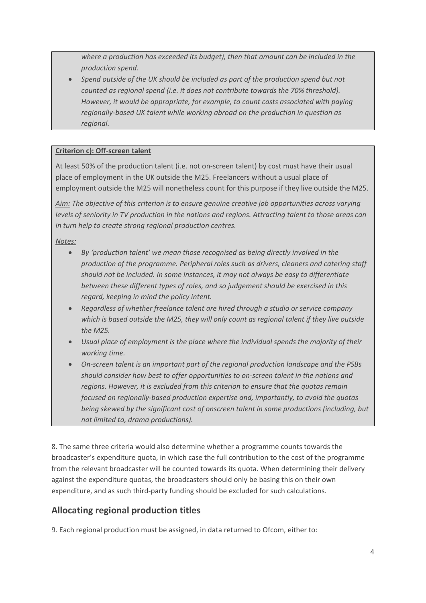*where a production has exceeded its budget), then that amount can be included in the production spend.* 

• *Spend outside of the UK should be included as part of the production spend but not counted as regional spend (i.e. it does not contribute towards the 70% threshold). However, it would be appropriate, for example, to count costs associated with paying regionally-based UK talent while working abroad on the production in question as regional.*

#### **Criterion c): Off-screen talent**

At least 50% of the production talent (i.e. not on-screen talent) by cost must have their usual place of employment in the UK outside the M25. Freelancers without a usual place of employment outside the M25 will nonetheless count for this purpose if they live outside the M25.

*Aim: The objective of this criterion is to ensure genuine creative job opportunities across varying levels of seniority in TV production in the nations and regions. Attracting talent to those areas can in turn help to create strong regional production centres.* 

*Notes:* 

- *By 'production talent' we mean those recognised as being directly involved in the production of the programme. Peripheral roles such as drivers, cleaners and catering staff should not be included. In some instances, it may not always be easy to differentiate between these different types of roles, and so judgement should be exercised in this regard, keeping in mind the policy intent.*
- *Regardless of whether freelance talent are hired through a studio or service company which is based outside the M25, they will only count as regional talent if they live outside the M25.*
- *Usual place of employment is the place where the individual spends the majority of their working time.*
- *On-screen talent is an important part of the regional production landscape and the PSBs should consider how best to offer opportunities to on-screen talent in the nations and regions. However, it is excluded from this criterion to ensure that the quotas remain focused on regionally-based production expertise and, importantly, to avoid the quotas being skewed by the significant cost of onscreen talent in some productions (including, but not limited to, drama productions).*

8. The same three criteria would also determine whether a programme counts towards the broadcaster's expenditure quota, in which case the full contribution to the cost of the programme from the relevant broadcaster will be counted towards its quota. When determining their delivery against the expenditure quotas, the broadcasters should only be basing this on their own expenditure, and as such third-party funding should be excluded for such calculations.

### **Allocating regional production titles**

9. Each regional production must be assigned, in data returned to Ofcom, either to: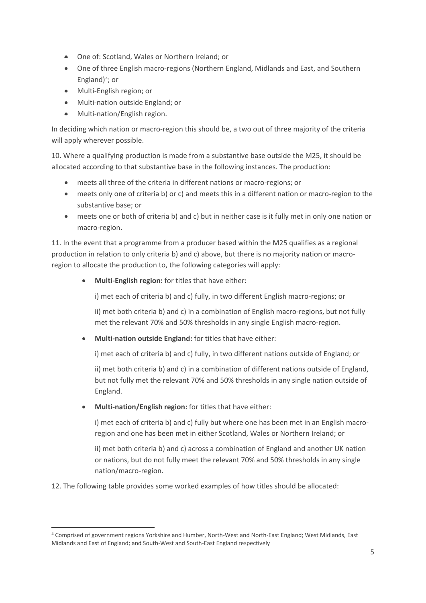- One of: Scotland, Wales or Northern Ireland; or
- One of three English macro-regions (Northern England, Midlands and East, and Southern England) $4$ ; or
- Multi-English region; or
- Multi-nation outside England; or
- Multi-nation/English region.

In deciding which nation or macro-region this should be, a two out of three majority of the criteria will apply wherever possible.

10. Where a qualifying production is made from a substantive base outside the M25, it should be allocated according to that substantive base in the following instances. The production:

- meets all three of the criteria in different nations or macro-regions; or
- meets only one of criteria b) or c) and meets this in a different nation or macro-region to the substantive base; or
- meets one or both of criteria b) and c) but in neither case is it fully met in only one nation or macro-region.

11. In the event that a programme from a producer based within the M25 qualifies as a regional production in relation to only criteria b) and c) above, but there is no majority nation or macroregion to allocate the production to, the following categories will apply:

• **Multi-English region:** for titles that have either:

i) met each of criteria b) and c) fully, in two different English macro-regions; or

ii) met both criteria b) and c) in a combination of English macro-regions, but not fully met the relevant 70% and 50% thresholds in any single English macro-region.

• **Multi-nation outside England:** for titles that have either:

i) met each of criteria b) and c) fully, in two different nations outside of England; or

ii) met both criteria b) and c) in a combination of different nations outside of England, but not fully met the relevant 70% and 50% thresholds in any single nation outside of England.

• **Multi-nation/English region:** for titles that have either:

i) met each of criteria b) and c) fully but where one has been met in an English macroregion and one has been met in either Scotland, Wales or Northern Ireland; or

ii) met both criteria b) and c) across a combination of England and another UK nation or nations, but do not fully meet the relevant 70% and 50% thresholds in any single nation/macro-region.

12. The following table provides some worked examples of how titles should be allocated:

<span id="page-4-0"></span><sup>4</sup> Comprised of government regions Yorkshire and Humber, North-West and North-East England; West Midlands, East Midlands and East of England; and South-West and South-East England respectively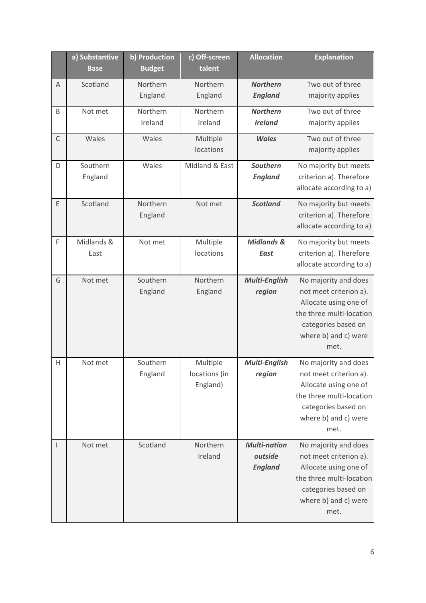|                          | a) Substantive<br><b>Base</b> | b) Production<br><b>Budget</b> | c) Off-screen<br>talent               | <b>Allocation</b>                                | <b>Explanation</b>                                                                                                                                         |
|--------------------------|-------------------------------|--------------------------------|---------------------------------------|--------------------------------------------------|------------------------------------------------------------------------------------------------------------------------------------------------------------|
| A                        | Scotland                      | Northern<br>England            | Northern<br>England                   | <b>Northern</b><br><b>England</b>                | Two out of three<br>majority applies                                                                                                                       |
| B                        | Not met                       | Northern<br>Ireland            | Northern<br>Ireland                   | <b>Northern</b><br><b>Ireland</b>                | Two out of three<br>majority applies                                                                                                                       |
| $\mathsf{C}$             | Wales                         | Wales                          | Multiple<br>locations                 | <b>Wales</b>                                     | Two out of three<br>majority applies                                                                                                                       |
| D                        | Southern<br>England           | Wales                          | Midland & East                        | Southern<br><b>England</b>                       | No majority but meets<br>criterion a). Therefore<br>allocate according to a)                                                                               |
| E                        | Scotland                      | Northern<br>England            | Not met                               | <b>Scotland</b>                                  | No majority but meets<br>criterion a). Therefore<br>allocate according to a)                                                                               |
| F                        | Midlands &<br>East            | Not met                        | Multiple<br>locations                 | <b>Midlands &amp;</b><br><b>East</b>             | No majority but meets<br>criterion a). Therefore<br>allocate according to a)                                                                               |
| G                        | Not met                       | Southern<br>England            | Northern<br>England                   | Multi-English<br>region                          | No majority and does<br>not meet criterion a).<br>Allocate using one of<br>the three multi-location<br>categories based on<br>where b) and c) were<br>met. |
| Н                        | Not met                       | Southern<br>England            | Multiple<br>locations (in<br>England) | Multi-English<br>region                          | No majority and does<br>not meet criterion a).<br>Allocate using one of<br>the three multi-location<br>categories based on<br>where b) and c) were<br>met. |
| $\overline{\phantom{a}}$ | Not met                       | Scotland                       | Northern<br>Ireland                   | <b>Multi-nation</b><br>outside<br><b>England</b> | No majority and does<br>not meet criterion a).<br>Allocate using one of<br>the three multi-location<br>categories based on<br>where b) and c) were<br>met. |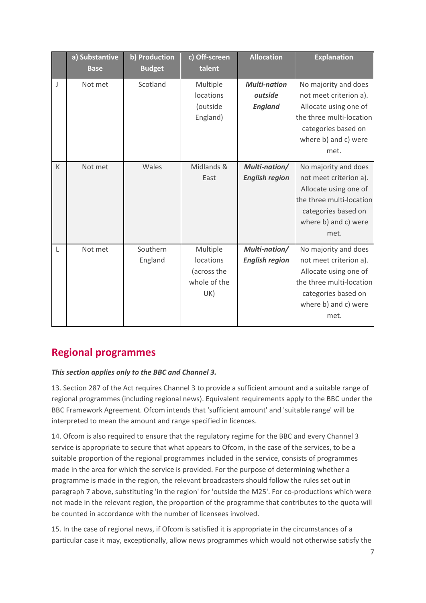|   | a) Substantive<br><b>Base</b> | b) Production<br><b>Budget</b> | c) Off-screen<br>talent                                     | <b>Allocation</b>                                | <b>Explanation</b>                                                                                                                                         |
|---|-------------------------------|--------------------------------|-------------------------------------------------------------|--------------------------------------------------|------------------------------------------------------------------------------------------------------------------------------------------------------------|
| J | Not met                       | Scotland                       | Multiple<br>locations<br>(outside<br>England)               | <b>Multi-nation</b><br>outside<br><b>England</b> | No majority and does<br>not meet criterion a).<br>Allocate using one of<br>the three multi-location<br>categories based on<br>where b) and c) were<br>met. |
| K | Not met                       | Wales                          | Midlands &<br>East                                          | Multi-nation/<br><b>English region</b>           | No majority and does<br>not meet criterion a).<br>Allocate using one of<br>the three multi-location<br>categories based on<br>where b) and c) were<br>met. |
| L | Not met                       | Southern<br>England            | Multiple<br>locations<br>(across the<br>whole of the<br>UK) | Multi-nation/<br><b>English region</b>           | No majority and does<br>not meet criterion a).<br>Allocate using one of<br>the three multi-location<br>categories based on<br>where b) and c) were<br>met. |

## **Regional programmes**

#### *This section applies only to the BBC and Channel 3.*

13. Section 287 of the Act requires Channel 3 to provide a sufficient amount and a suitable range of regional programmes (including regional news). Equivalent requirements apply to the BBC under the BBC Framework Agreement. Ofcom intends that 'sufficient amount' and 'suitable range' will be interpreted to mean the amount and range specified in licences.

14. Ofcom is also required to ensure that the regulatory regime for the BBC and every Channel 3 service is appropriate to secure that what appears to Ofcom, in the case of the services, to be a suitable proportion of the regional programmes included in the service, consists of programmes made in the area for which the service is provided. For the purpose of determining whether a programme is made in the region, the relevant broadcasters should follow the rules set out in paragraph 7 above, substituting 'in the region' for 'outside the M25'. For co-productions which were not made in the relevant region, the proportion of the programme that contributes to the quota will be counted in accordance with the number of licensees involved.

15. In the case of regional news, if Ofcom is satisfied it is appropriate in the circumstances of a particular case it may, exceptionally, allow news programmes which would not otherwise satisfy the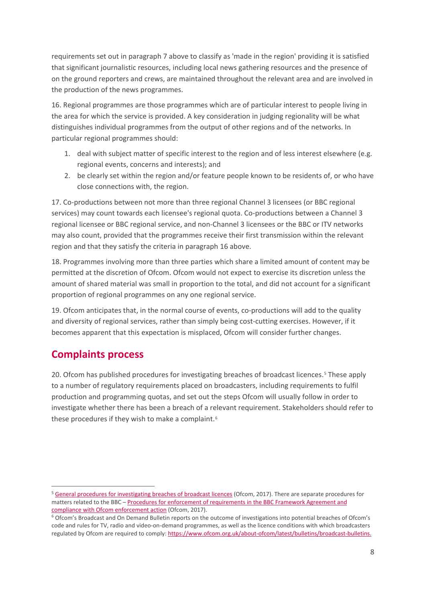requirements set out in paragraph 7 above to classify as 'made in the region' providing it is satisfied that significant journalistic resources, including local news gathering resources and the presence of on the ground reporters and crews, are maintained throughout the relevant area and are involved in the production of the news programmes.

16. Regional programmes are those programmes which are of particular interest to people living in the area for which the service is provided. A key consideration in judging regionality will be what distinguishes individual programmes from the output of other regions and of the networks. In particular regional programmes should:

- 1. deal with subject matter of specific interest to the region and of less interest elsewhere (e.g. regional events, concerns and interests); and
- 2. be clearly set within the region and/or feature people known to be residents of, or who have close connections with, the region.

17. Co-productions between not more than three regional Channel 3 licensees (or BBC regional services) may count towards each licensee's regional quota. Co-productions between a Channel 3 regional licensee or BBC regional service, and non-Channel 3 licensees or the BBC or ITV networks may also count, provided that the programmes receive their first transmission within the relevant region and that they satisfy the criteria in paragraph 16 above.

18. Programmes involving more than three parties which share a limited amount of content may be permitted at the discretion of Ofcom. Ofcom would not expect to exercise its discretion unless the amount of shared material was small in proportion to the total, and did not account for a significant proportion of regional programmes on any one regional service.

19. Ofcom anticipates that, in the normal course of events, co-productions will add to the quality and diversity of regional services, rather than simply being cost-cutting exercises. However, if it becomes apparent that this expectation is misplaced, Ofcom will consider further changes.

## **Complaints process**

20. Ofcom has published procedures for investigating breaches of broadcast licences.[5](#page-7-0) These apply to a number of regulatory requirements placed on broadcasters, including requirements to fulfil production and programming quotas, and set out the steps Ofcom will usually follow in order to investigate whether there has been a breach of a relevant requirement. Stakeholders should refer to these procedures if they wish to make a complaint.<sup>[6](#page-7-1)</sup>

<span id="page-7-0"></span><sup>&</sup>lt;sup>5</sup> [General procedures for investigating breaches of broadcast licences](https://www.ofcom.org.uk/__data/assets/pdf_file/0019/31942/general-procedures.pdf) (Ofcom, 2017). There are separate procedures for matters related to the BBC [– Procedures for enforcement of requirements in the BBC Framework Agreement and](https://www.ofcom.org.uk/__data/assets/pdf_file/0024/99420/bbc-agreement.pdf)  compliance with Ofcom enforcement action [\(](https://www.ofcom.org.uk/__data/assets/pdf_file/0024/99420/bbc-agreement.pdf)Ofcom, 2017).<br><sup>6</sup> Ofcom's Broadcast and On Demand Bulletin reports on the outcome of investigations into potential breaches of Ofcom's

<span id="page-7-1"></span>code and rules for TV, radio and video-on-demand programmes, as well as the licence conditions with which broadcasters regulated by Ofcom are required to comply: [https://www.ofcom.org.uk/about-ofcom/latest/bulletins/broadcast-bulletins.](https://www.ofcom.org.uk/about-ofcom/latest/bulletins/broadcast-bulletins)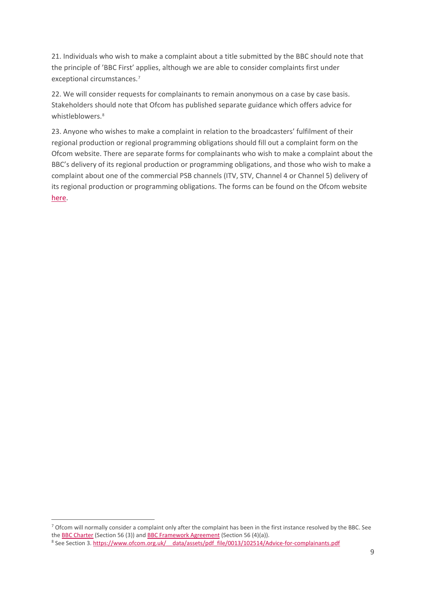21. Individuals who wish to make a complaint about a title submitted by the BBC should note that the principle of 'BBC First' applies, although we are able to consider complaints first under exceptional circumstances.[7](#page-8-0)

22. We will consider requests for complainants to remain anonymous on a case by case basis. Stakeholders should note that Ofcom has published separate guidance which offers advice for whistleblowers.<sup>[8](#page-8-1)</sup>

23. Anyone who wishes to make a complaint in relation to the broadcasters' fulfilment of their regional production or regional programming obligations should fill out a complaint form on the Ofcom website. There are separate forms for complainants who wish to make a complaint about the BBC's delivery of its regional production or programming obligations, and those who wish to make a complaint about one of the commercial PSB channels (ITV, STV, Channel 4 or Channel 5) delivery of its regional production or programming obligations. The forms can be found on the Ofcom website [here.](https://www.ofcom.org.uk/complaints/complain-about-tv-radio-a-website/something-else/regional-production-and-regional-programming-complaints)

<span id="page-8-0"></span><sup>7</sup> Ofcom will normally consider a complaint only after the complaint has been in the first instance resolved by the BBC. See th[e BBC Charter](http://downloads.bbc.co.uk/bbctrust/assets/files/pdf/about/how_we_govern/2016/charter.pdf) (Section 56 (3)) and [BBC Framework Agreement](http://downloads.bbc.co.uk/bbctrust/assets/files/pdf/about/how_we_govern/2016/agreement.pdf) (Section 56 (4)(a)).

<span id="page-8-1"></span><sup>8</sup> See Section 3. https://www.ofcom.org.uk/ data/assets/pdf file/0013/102514/Advice-for-complainants.pdf